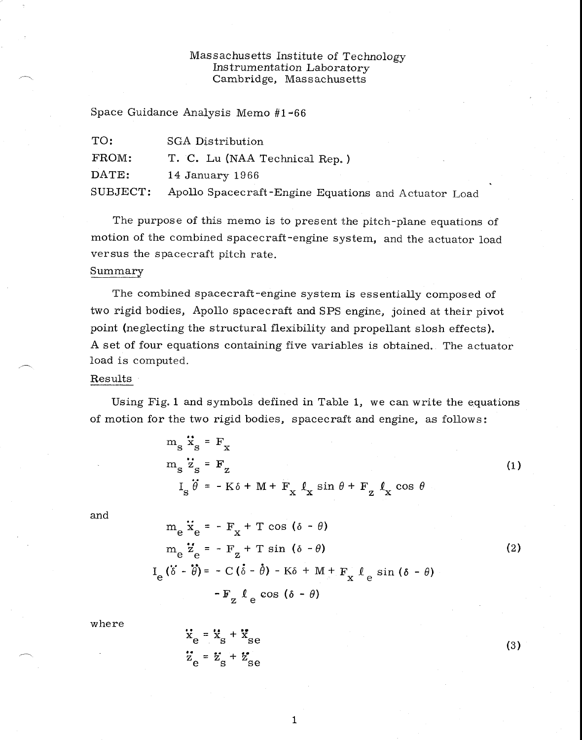## Massachusetts Institute of Technology Instrumentation Laboratory Cambridge, Massachusetts

Space Guidance Analysis Memo  $#1-66$ 

| TO:      | SGA Distribution                                     |
|----------|------------------------------------------------------|
| FROM:    | T. C. Lu (NAA Technical Rep.)                        |
| DATE:    | 14 January 1966                                      |
| SUBJECT: | Apollo Spacecraft-Engine Equations and Actuator Load |

The purpose of this memo is to present the pitch-plane equations of motion of the combined spacecraft-engine system, and the actuator load versus the spacecraft pitch rate.

#### Summary

The combined spacecraft-engine system is essentially composed of two rigid bodies, Apollo spacecraft and SPS engine, joined at their pivot point (neglecting the structural flexibility and propellant slosh effects). A set of four equations containing five variables is obtained. The actuator load is computed.

#### Results

Using Fig. 1 and symbols defined in Table 1, we can write the equations of motion for the two rigid bodies, spacecraft and engine, as follows:

$$
m_{S} \ddot{x}_{S} = F_{X}
$$
  
\n
$$
m_{S} \ddot{z}_{S} = F_{Z}
$$
  
\n
$$
I_{S} \ddot{\theta} = -K\delta + M + F_{X} \ell_{X} \sin \theta + F_{Z} \ell_{X} \cos \theta
$$
\n(1)

and

$$
m_{e} \ddot{x}_{e} = -F_{x} + T \cos (\delta - \theta)
$$
  
\n
$$
m_{e} \ddot{z}_{e} = -F_{z} + T \sin (\delta - \theta)
$$
  
\n
$$
I_{e} (\ddot{\delta} - \ddot{\theta}) = -C (\dot{\delta} - \dot{\theta}) - K\delta + M + F_{x} \ell_{e} \sin (\delta - \theta)
$$
  
\n
$$
-F_{z} \ell_{e} \cos (\delta - \theta)
$$
\n(2)

where

$$
\ddot{x}_{e} = \ddot{x}_{s} + \ddot{x}_{se}
$$
  

$$
\ddot{z}_{e} = \ddot{z}_{s} + \ddot{z}_{se}
$$

(3)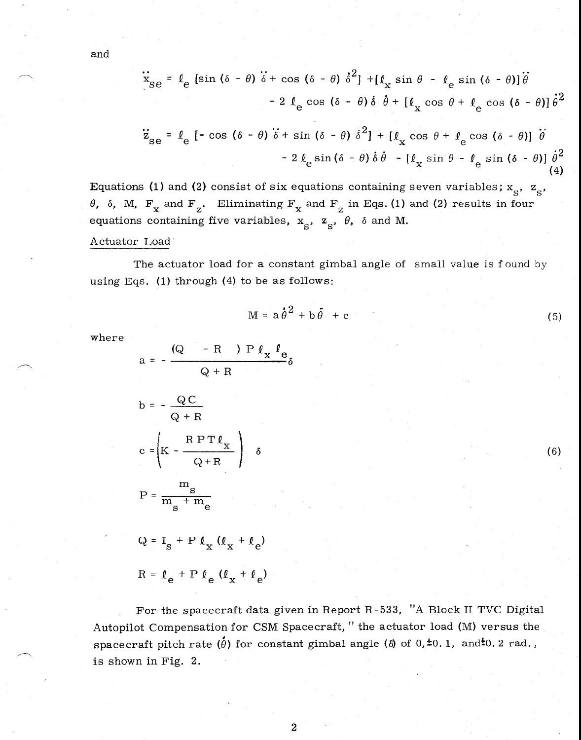and

$$
\ddot{x}_{\text{se}} = \ell_{\text{e}} \left[ \sin (\delta - \theta) \ddot{\delta} + \cos (\delta - \theta) \dot{\delta}^{2} \right] + [\ell_{\text{x}} \sin \theta - \ell_{\text{e}} \sin (\delta - \theta)] \ddot{\theta}
$$
  
- 2 \ell\_{\text{e}} \cos (\delta - \theta) \dot{\delta} \dot{\theta} + [\ell\_{\text{x}} \cos \theta + \ell\_{\text{e}} \cos (\delta - \theta)] \dot{\theta}^{2}

$$
\ddot{z}_{\text{se}} = \ell_{\text{e}} \left[ -\cos(\delta - \theta) \dot{\delta} + \sin(\delta - \theta) \dot{\delta}^{2} \right] + \left[ \ell_{\text{x}} \cos \theta + \ell_{\text{e}} \cos(\delta - \theta) \right] \dot{\theta}
$$

$$
- 2 \ell_{\text{e}} \sin(\delta - \theta) \dot{\delta} \dot{\theta} - \left[ \ell_{\text{x}} \sin \theta - \ell_{\text{e}} \sin(\delta - \theta) \right] \dot{\theta}^{2}
$$
(4)

Equations (1) and (2) consist of six equations containing seven variables;  $x_{S}$ ,  $z_{S}$ *9*,  $\delta$ , M, F<sub>x</sub> and F<sub>z</sub>. Eliminating F<sub>x</sub> and F<sub>z</sub> in Eqs. (1) and (2) results in four equations containing five variables,  $x_{\rm s}$ ,  $z_{\rm s}$ ,  $\theta$ ,  $\delta$  and M.

### Actuator Load

The actuator load for a constant gimbal angle of small value is found by using Eqs. (1) through (4) to be as follows:

$$
M = a \dot{\theta}^2 + b \dot{\theta} + c \tag{5}
$$

where

$$
a = -\frac{(Q - R) P l_x l_e}{Q + R}
$$
  
\n
$$
b = -\frac{Q C}{Q + R}
$$
  
\n
$$
c = \left(K - \frac{R P T l_x}{Q + R}\right) \delta
$$
  
\n
$$
P = \frac{m_s}{m_s + m_e}
$$
 (6)

 $Q = I_S + P \ell_X (\ell_X + \ell_e)$  $R = \ell_e + P \ell_e (\ell_x + \ell_e)$ 

For the spacecraft data given in Report R-533, "A Block II TVC Digital Autopilot Compensation for CSM Spacecraft, " the actuator load (M) versus the  ${\rm space}$  craft pitch rate  $(\dot{\theta})$  for constant gimbal angle ( $\delta$ ) of  $0,\dot{\pm}0.$  1, and $\dot{\pm}0.$  2 rad., is shown in Fig. 2.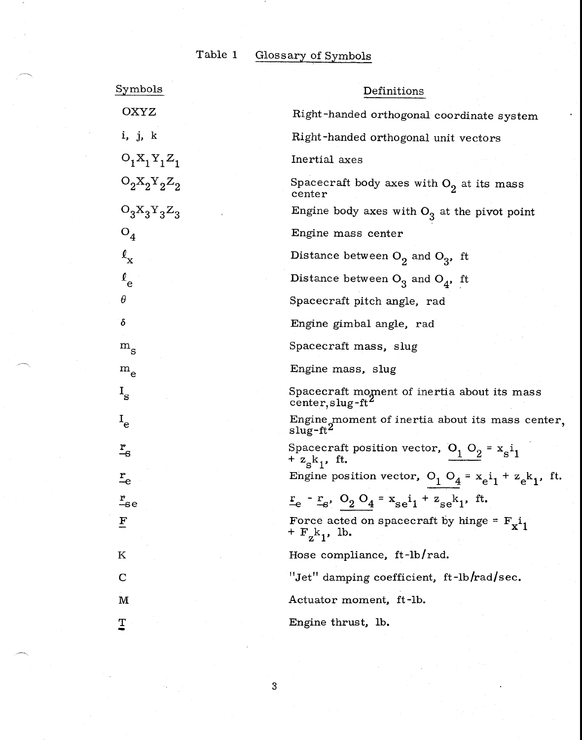# Table 1 Glossary of Symbols

| Symbols                   | Definitions                                                                                |
|---------------------------|--------------------------------------------------------------------------------------------|
| OXYZ                      | Right-handed orthogonal coordinate system                                                  |
| i, j, k                   | Right-handed orthogonal unit vectors                                                       |
| $O_1X_1Y_1Z_1$            | Inertial axes                                                                              |
| $O_2X_2Y_2Z_2$            | Spacecraft body axes with $O_2$ at its mass<br>center                                      |
| $O_3X_3Y_3Z_3$            | Engine body axes with $O_3$ at the pivot point                                             |
| $O_4$                     | Engine mass center                                                                         |
| $\ell_{\mathbf{x}}$       | Distance between $O_2$ and $O_3$ , ft                                                      |
| $\ell_{\rm e}$            | Distance between $O_3$ and $O_4$ , ft                                                      |
| θ                         | Spacecraft pitch angle, rad                                                                |
| δ                         | Engine gimbal angle, rad                                                                   |
| $\rm m_{_S}$              | Spacecraft mass, slug                                                                      |
| $\rm m_e$                 | Engine mass, slug                                                                          |
| $I_{\rm s}$               | Spacecraft moment of inertia about its mass<br>center, slug-ft <sup>2</sup>                |
| $I_{e}$                   | Engine moment of inertia about its mass center,<br>slug-ft <sup>2</sup>                    |
| $\frac{r}{-s}$            | Spacecraft position vector, $O_1 O_2 = x_s i_1$<br>+ $z_{s}k_{1}$ , ft.                    |
| $\mathbf{r}_{\mathrm{e}}$ | Engine position vector, $O_1 O_4 = x_e i_1 + z_e k_1$ , ft.                                |
| $\frac{r}{-s}$ e          | $r_e - r_s$ , O <sub>2</sub> O <sub>4</sub> = $x_{se}i_1 + z_{se}k_1$ , ft.                |
| F                         | Force acted on spacecraft by hinge = $F_{\mathbf{x}}i_1$<br>+ $F_{Z}$ k <sub>1</sub> , 1b. |
| Κ                         | Hose compliance, ft-lb/rad.                                                                |
| $\mathbf C$               | "Jet" damping coefficient, ft-lb/rad/sec.                                                  |
| M                         | Actuator moment, ft-lb.                                                                    |
| T                         | Engine thrust, lb.                                                                         |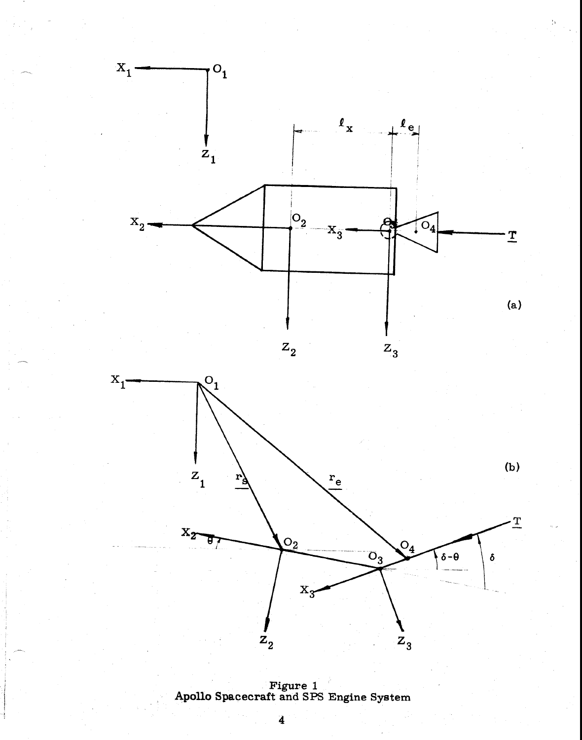

**Figure 1 Apollo Spacecraft and SPS Engine System**